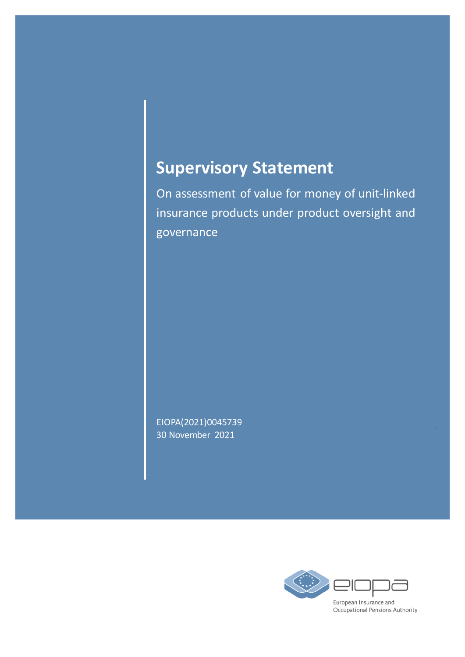# **Supervisory Statement**

On assessment of value for money of unit-linked insurance products under product oversight and governance

EIOPA(2021)0045739 30 November 2021

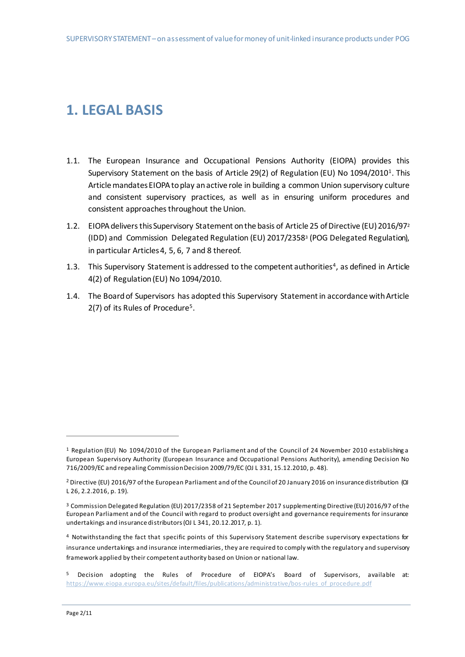### **1. LEGAL BASIS**

- 1.1. The European Insurance and Occupational Pensions Authority (EIOPA) provides this Supervisory Statement on the basis of Article 29(2) of Regulation (EU) No 1094/2010<sup>1</sup>. This Article mandates EIOPA to play an active role in building a common Union supervisory culture and consistent supervisory practices, as well as in ensuring uniform procedures and consistent approaches throughout the Union.
- 1.2. EIOPA delivers this Supervisory Statement on the basis of Article 25 of Directive (EU) 2016/97<sup>2</sup> (IDD) and Commission Delegated Regulation (EU) 2017/2358<sup>3</sup> (POG Delegated Regulation), in particular Articles 4, 5, 6, 7 and 8 thereof.
- 1.3. This Supervisory Statement is addressed to the competent authorities<sup>4</sup>, as defined in Article 4(2) of Regulation (EU) No 1094/2010.
- 1.4. The Board of Supervisors has adopted this Supervisory Statement in accordance with Article 2(7) of its Rules of Procedure<sup>5</sup>.

 $\overline{a}$ 

<sup>1</sup> Regulation (EU) No 1094/2010 of the European Parliament and of the Council of 24 November 2010 establishing a European Supervisory Authority (European Insurance and Occupational Pensions Authority), amending Decision No 716/2009/EC and repealing Commission Decision 2009/79/EC (OJ L 331, 15.12.2010, p. 48).

<sup>2</sup> Directive (EU) 2016/97 of the European Parliament and of the Council of 20 January 2016 on insurance distribution (OJ L 26, 2.2.2016, p. 19).

<sup>3</sup> Commission Delegated Regulation (EU) 2017/2358 of 21 September 2017 supplementing Directive (EU) 2016/97 of the European Parliament and of the Council with regard to product oversight and governance requirements for insurance undertakings and insurance distributors (OJ L 341, 20.12.2017, p. 1).

<sup>4</sup> Notwithstanding the fact that specific points of this Supervisory Statement describe supervisory expectations for insurance undertakings and insurance intermediaries, they are required to comply with the regulatory and supervisory framework applied by their competent authority based on Union or national law.

<sup>5</sup> Decision adopting the Rules of Procedure of EIOPA's Board of Supervisors, available at: https://www.eiopa.europa.eu/sites/default/files/publications/administrative/bos-rules of procedure.pdf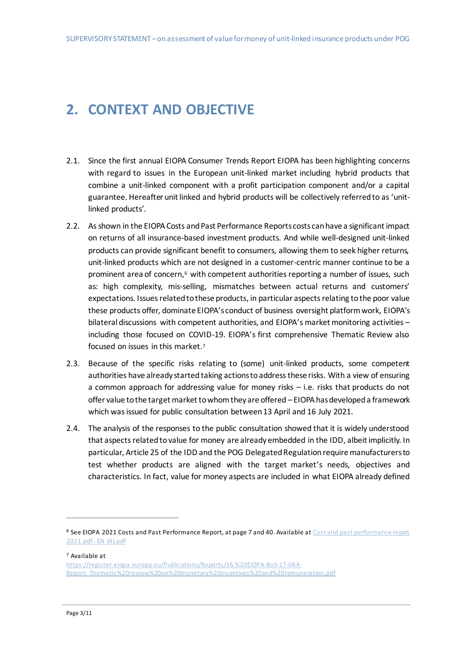## **2. CONTEXT AND OBJECTIVE**

- 2.1. Since the first annual EIOPA Consumer Trends Report EIOPA has been highlighting concerns with regard to issues in the European unit-linked market including hybrid products that combine a unit-linked component with a profit participation component and/or a capital guarantee. Hereafter unit linked and hybrid products will be collectively referred to as 'unitlinked products'.
- 2.2. As shown in the EIOPA Costs and Past Performance Reports costs can have a significant impact on returns of all insurance-based investment products. And while well-designed unit-linked products can provide significant benefit to consumers, allowing them to seek higher returns, unit-linked products which are not designed in a customer-centric manner continue to be a prominent area of concern, <sup>6</sup> with competent authorities reporting a number of issues, such as: high complexity, mis-selling, mismatches between actual returns and customers' expectations. Issues related to these products, in particular aspects relating to the poor value these products offer, dominate EIOPA's conduct of business oversight platform work, EIOPA's bilateral discussions with competent authorities, and EIOPA's market monitoring activities including those focused on COVID-19. EIOPA's first comprehensive Thematic Review also focused on issues in this market.<sup>7</sup>
- 2.3. Because of the specific risks relating to (some) unit-linked products, some competent authorities have already started taking actions to address these risks. With a view of ensuring a common approach for addressing value for money risks – i.e. risks that products do not offer value to the target market to whom they are offered – EIOPA has developed a framework which was issued for public consultation between 13 April and 16 July 2021.
- 2.4. The analysis of the responses to the public consultation showed that it is widely understood that aspects related to value for money are already embedded in the IDD, albeit implicitly. In particular, Article 25 of the IDD and the POG Delegated Regulation require manufacturers to test whether products are aligned with the target market's needs, objectives and characteristics. In fact, value for money aspects are included in what EIOPA already defined

<sup>7</sup> Available at

 $\overline{a}$ 

[https://register.eiopa.europa.eu/Publications/Reports/16.%20EIOPA-BoS-17-064-](https://register.eiopa.europa.eu/Publications/Reports/16.%20EIOPA-BoS-17-064-Report_Thematic%20review%20on%20monetary%20incentives%20and%20remuneration.pdf) [Report\\_Thematic%20review%20on%20monetary%20incentives%20and%20remuneration.pdf](https://register.eiopa.europa.eu/Publications/Reports/16.%20EIOPA-BoS-17-064-Report_Thematic%20review%20on%20monetary%20incentives%20and%20remuneration.pdf)

<sup>6</sup> See EIOPA 2021 Costs and Past Performance Report, at page 7 and 40. Available at Cost and past performance report [2021.pdf -](file:///C:/Users/TraversaMa/Downloads/Cost%20and%20past%20performance%20report%202021.pdf%20-%20EN%20(4).pdf) EN (4).pdf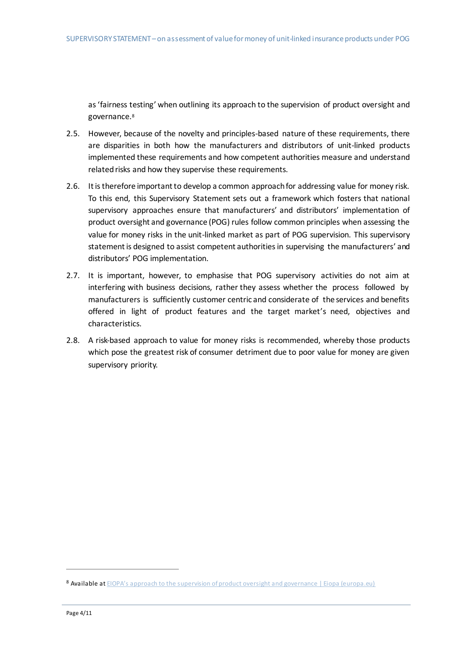as 'fairness testing' when outlining its approach to the supervision of product oversight and governance.<sup>8</sup>

- 2.5. However, because of the novelty and principles-based nature of these requirements, there are disparities in both how the manufacturers and distributors of unit-linked products implemented these requirements and how competent authorities measure and understand related risks and how they supervise these requirements.
- 2.6. It is therefore important to develop a common approach for addressing value for money risk. To this end, this Supervisory Statement sets out a framework which fosters that national supervisory approaches ensure that manufacturers' and distributors' implementation of product oversight and governance (POG) rules follow common principles when assessing the value for money risks in the unit-linked market as part of POG supervision. This supervisory statement is designed to assist competent authorities in supervising the manufacturers' and distributors' POG implementation.
- 2.7. It is important, however, to emphasise that POG supervisory activities do not aim at interfering with business decisions, rather they assess whether the process followed by manufacturers is sufficiently customer centric and considerate of the services and benefits offered in light of product features and the target market's need, objectives and characteristics.
- 2.8. A risk-based approach to value for money risks is recommended, whereby those products which pose the greatest risk of consumer detriment due to poor value for money are given supervisory priority.

 $\overline{a}$ 

<sup>8</sup> Available at [EIOPA's approach to the supervision of product oversight and governance | Eiopa \(europa.eu\)](https://www.eiopa.europa.eu/content/eiopa-approach-supervision-product-oversight-and-governance_en)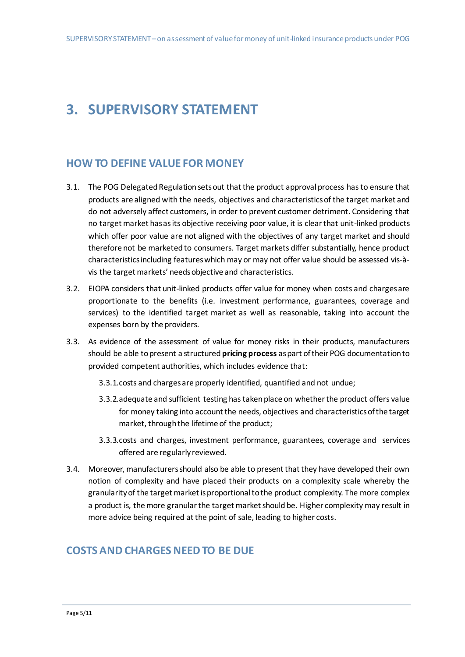## **3. SUPERVISORY STATEMENT**

#### **HOW TO DEFINE VALUE FOR MONEY**

- 3.1. The POG Delegated Regulation sets out that the product approval process has to ensure that products are aligned with the needs, objectives and characteristics of the target market and do not adversely affect customers, in order to prevent customer detriment. Considering that no target market has as its objective receiving poor value, it is clear that unit-linked products which offer poor value are not aligned with the objectives of any target market and should therefore not be marketed to consumers. Target markets differ substantially, hence product characteristics including features which may or may not offer value should be assessed vis-àvis the target markets' needs objective and characteristics.
- 3.2. EIOPA considers that unit-linked products offer value for money when costs and charges are proportionate to the benefits (i.e. investment performance, guarantees, coverage and services) to the identified target market as well as reasonable, taking into account the expenses born by the providers.
- 3.3. As evidence of the assessment of value for money risks in their products, manufacturers should be able to present a structured **pricing process** as part oftheir POG documentation to provided competent authorities, which includes evidence that:
	- 3.3.1.costs and charges are properly identified, quantified and not undue;
	- 3.3.2.adequate and sufficient testing has taken place on whether the product offers value for money taking into account the needs, objectives and characteristics of the target market, through the lifetime of the product;
	- 3.3.3.costs and charges, investment performance, guarantees, coverage and services offered are regularly reviewed.
- 3.4. Moreover, manufacturers should also be able to present that they have developed their own notion of complexity and have placed their products on a complexity scale whereby the granularity of the target market is proportional to the product complexity. The more complex a product is, the more granular the target market should be. Higher complexity may result in more advice being required at the point of sale, leading to higher costs.

#### **COSTS AND CHARGES NEED TO BE DUE**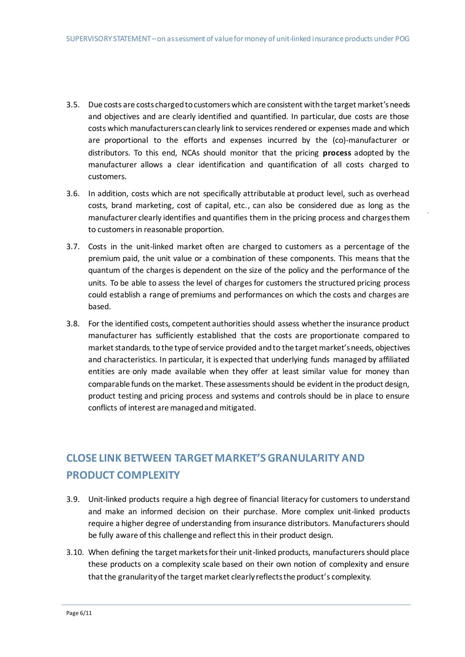- 3.5. Due costs are costs charged to customerswhich are consistent with the target market's needs and objectives and are clearly identified and quantified. In particular, due costs are those costs which manufacturers can clearly link to services rendered or expenses made and which are proportional to the efforts and expenses incurred by the (co)-manufacturer or distributors. To this end, NCAs should monitor that the pricing **process** adopted by the manufacturer allows a clear identification and quantification of all costs charged to customers.
- 3.6. In addition, costs which are not specifically attributable at product level, such as overhead costs, brand marketing, cost of capital, etc., can also be considered due as long as the manufacturer clearly identifies and quantifies them in the pricing process and chargesthem to customers in reasonable proportion.
- 3.7. Costs in the unit-linked market often are charged to customers as a percentage of the premium paid, the unit value or a combination of these components. This means that the quantum of the charges is dependent on the size of the policy and the performance of the units. To be able to assess the level of charges for customers the structured pricing process could establish a range of premiums and performances on which the costs and charges are based.
- 3.8. For the identified costs, competent authoritiesshould assess whether the insurance product manufacturer has sufficiently established that the costs are proportionate compared to market standards, to the type of service provided and to the target market's needs, objectives and characteristics. In particular, it is expected that underlying funds managed by affiliated entities are only made available when they offer at least similar value for money than comparable funds on the market. These assessments should be evident in the product design, product testing and pricing process and systems and controls should be in place to ensure conflicts of interest are managed and mitigated.

#### **CLOSE LINK BETWEEN TARGET MARKET'S GRANULARITY AND PRODUCT COMPLEXITY**

- 3.9. Unit-linked products require a high degree of financial literacy for customers to understand and make an informed decision on their purchase. More complex unit-linked products require a higher degree of understanding from insurance distributors. Manufacturers should be fully aware of this challenge and reflect this in their product design.
- 3.10. When defining the target markets for their unit-linked products, manufacturers should place these products on a complexity scale based on their own notion of complexity and ensure that the granularity of the target market clearly reflectsthe product's complexity.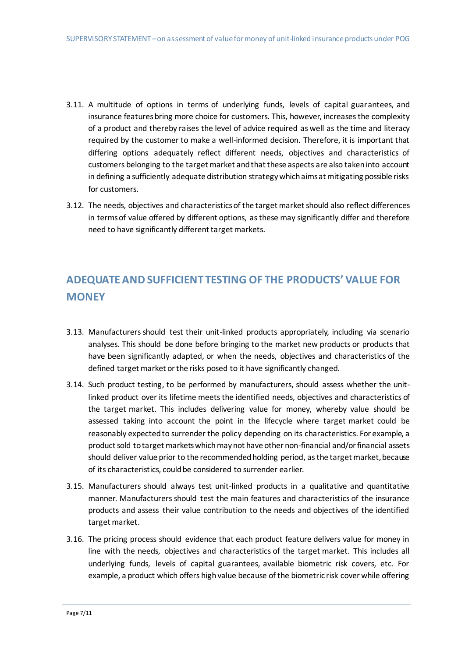- 3.11. A multitude of options in terms of underlying funds, levels of capital guarantees, and insurance features bring more choice for customers. This, however, increases the complexity of a product and thereby raises the level of advice required as well as the time and literacy required by the customer to make a well-informed decision. Therefore, it is important that differing options adequately reflect different needs, objectives and characteristics of customers belonging to the target market and that these aspects are also taken into account in defining a sufficiently adequate distribution strategy which aims at mitigating possible risks for customers.
- 3.12. The needs, objectives and characteristics of the target market should also reflect differences in terms of value offered by different options, as these may significantly differ and therefore need to have significantly different target markets.

### **ADEQUATE AND SUFFICIENT TESTING OF THE PRODUCTS' VALUE FOR MONEY**

- 3.13. Manufacturers should test their unit-linked products appropriately, including via scenario analyses. This should be done before bringing to the market new products or products that have been significantly adapted, or when the needs, objectives and characteristics of the defined target market or the risks posed to it have significantly changed.
- 3.14. Such product testing, to be performed by manufacturers, should assess whether the unitlinked product over its lifetime meets the identified needs, objectives and characteristics of the target market. This includes delivering value for money, whereby value should be assessed taking into account the point in the lifecycle where target market could be reasonably expected to surrender the policy depending on its characteristics. For example, a product sold to target markets which may not have other non-financial and/or financial assets should deliver value prior to the recommended holding period, as the target market, because of its characteristics, could be considered to surrender earlier.
- 3.15. Manufacturers should always test unit-linked products in a qualitative and quantitative manner. Manufacturers should test the main features and characteristics of the insurance products and assess their value contribution to the needs and objectives of the identified target market.
- 3.16. The pricing process should evidence that each product feature delivers value for money in line with the needs, objectives and characteristics of the target market. This includes all underlying funds, levels of capital guarantees, available biometric risk covers, etc. For example, a product which offers high value because of the biometric risk cover while offering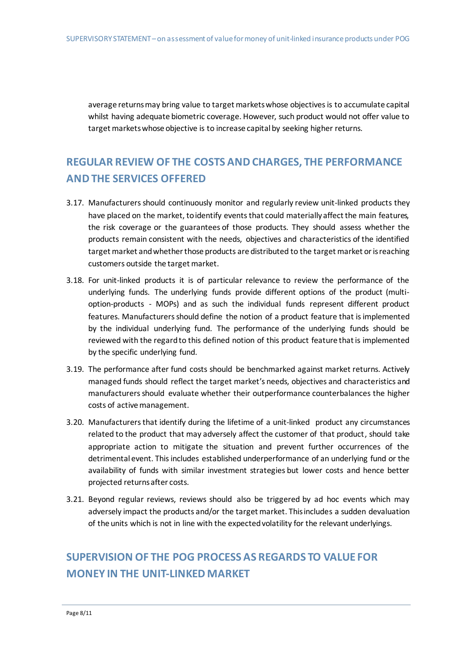average returns may bring value to target markets whose objectives is to accumulate capital whilst having adequate biometric coverage. However, such product would not offer value to target markets whose objective is to increase capital by seeking higher returns.

### **REGULAR REVIEW OF THE COSTS AND CHARGES, THE PERFORMANCE AND THE SERVICES OFFERED**

- 3.17. Manufacturers should continuously monitor and regularly review unit-linked products they have placed on the market, to identify events that could materially affect the main features, the risk coverage or the guarantees of those products. They should assess whether the products remain consistent with the needs, objectives and characteristics of the identified target market and whether those products are distributed to the target market or is reaching customers outside the target market.
- 3.18. For unit-linked products it is of particular relevance to review the performance of the underlying funds. The underlying funds provide different options of the product (multioption-products - MOPs) and as such the individual funds represent different product features. Manufacturers should define the notion of a product feature that is implemented by the individual underlying fund. The performance of the underlying funds should be reviewed with the regard to this defined notion of this product feature that is implemented by the specific underlying fund.
- 3.19. The performance after fund costs should be benchmarked against market returns. Actively managed funds should reflect the target market's needs, objectives and characteristics and manufacturers should evaluate whether their outperformance counterbalances the higher costs of active management.
- 3.20. Manufacturers that identify during the lifetime of a unit-linked product any circumstances related to the product that may adversely affect the customer of that product, should take appropriate action to mitigate the situation and prevent further occurrences of the detrimental event. This includes established underperformance of an underlying fund or the availability of funds with similar investment strategies but lower costs and hence better projected returns after costs.
- 3.21. Beyond regular reviews, reviews should also be triggered by ad hoc events which may adversely impact the products and/or the target market. This includes a sudden devaluation of the units which is not in line with the expected volatility for the relevant underlyings.

### **SUPERVISION OF THE POG PROCESS AS REGARDS TO VALUE FOR MONEY IN THE UNIT-LINKED MARKET**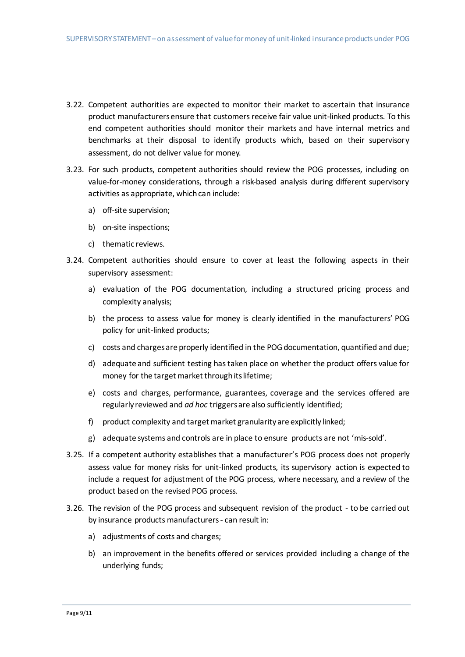- 3.22. Competent authorities are expected to monitor their market to ascertain that insurance product manufacturers ensure that customersreceive fair value unit-linked products. To this end competent authorities should monitor their markets and have internal metrics and benchmarks at their disposal to identify products which, based on their supervisory assessment, do not deliver value for money.
- 3.23. For such products, competent authorities should review the POG processes, including on value-for-money considerations, through a risk-based analysis during different supervisory activities as appropriate, which can include:
	- a) off-site supervision;
	- b) on-site inspections;
	- c) thematic reviews.
- 3.24. Competent authorities should ensure to cover at least the following aspects in their supervisory assessment:
	- a) evaluation of the POG documentation, including a structured pricing process and complexity analysis;
	- b) the process to assess value for money is clearly identified in the manufacturers' POG policy for unit-linked products;
	- c) costs and charges are properly identified in the POG documentation, quantified and due;
	- d) adequate and sufficient testing has taken place on whether the product offers value for money for the target market through its lifetime;
	- e) costs and charges, performance, guarantees, coverage and the services offered are regularly reviewed and *ad hoc* triggers are also sufficiently identified;
	- f) product complexity and target market granularity are explicitly linked;
	- g) adequate systems and controls are in place to ensure products are not 'mis-sold'.
- 3.25. If a competent authority establishes that a manufacturer's POG process does not properly assess value for money risks for unit-linked products, its supervisory action is expected to include a request for adjustment of the POG process, where necessary, and a review of the product based on the revised POG process.
- 3.26. The revision of the POG process and subsequent revision of the product to be carried out by insurance products manufacturers - can result in:
	- a) adjustments of costs and charges;
	- b) an improvement in the benefits offered or services provided including a change of the underlying funds;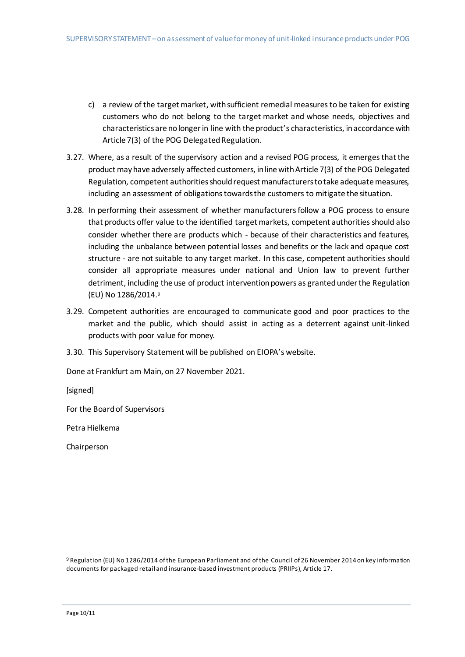- c) a review of the target market, with sufficient remedial measures to be taken for existing customers who do not belong to the target market and whose needs, objectives and characteristics are no longer in line with the product's characteristics, in accordance with Article 7(3) of the POG Delegated Regulation.
- 3.27. Where, as a result of the supervisory action and a revised POG process, it emerges that the product may have adversely affected customers, in line with Article 7(3) of the POG Delegated Regulation, competent authoritiesshould request manufacturers to take adequate measures, including an assessment of obligations towards the customers to mitigate the situation.
- 3.28. In performing their assessment of whether manufacturers follow a POG process to ensure that products offer value to the identified target markets, competent authorities should also consider whether there are products which - because of their characteristics and features, including the unbalance between potential losses and benefits or the lack and opaque cost structure - are not suitable to any target market. In this case, competent authorities should consider all appropriate measures under national and Union law to prevent further detriment, including the use of product intervention powers as granted under the Regulation (EU) No 1286/2014. 9
- 3.29. Competent authorities are encouraged to communicate good and poor practices to the market and the public, which should assist in acting as a deterrent against unit-linked products with poor value for money.
- 3.30. This Supervisory Statement will be published on EIOPA's website.

Done at Frankfurt am Main, on 27 November 2021.

[signed]

For the Board of Supervisors

Petra Hielkema

Chairperson

 $\overline{a}$ 

<sup>9</sup> Regulation (EU) No 1286/2014 of the European Parliament and of the Council of 26 November 2014 on key information documents for packaged retail and insurance-based investment products (PRIIPs), Article 17.